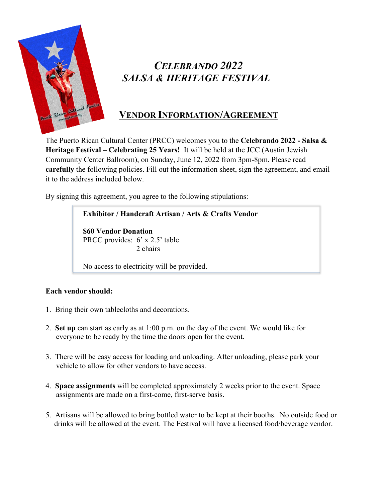

# *CELEBRANDO 2022 SALSA & HERITAGE FESTIVAL*

### **VENDOR INFORMATION/AGREEMENT**

The Puerto Rican Cultural Center (PRCC) welcomes you to the **Celebrando 2022 - Salsa & Heritage Festival – Celebrating 25 Years!** It will be held at the JCC (Austin Jewish Community Center Ballroom), on Sunday, June 12, 2022 from 3pm-8pm. Please read **carefully** the following policies. Fill out the information sheet, sign the agreement, and email it to the address included below.

By signing this agreement, you agree to the following stipulations:

#### **Exhibitor / Handcraft Artisan / Arts & Crafts Vendor**

**\$60 Vendor Donation**  PRCC provides: 6' x 2.5' table 2 chairs

No access to electricity will be provided.

#### **Each vendor should:**

- 1. Bring their own tablecloths and decorations.
- 2. **Set up** can start as early as at 1:00 p.m. on the day of the event. We would like for everyone to be ready by the time the doors open for the event.
- 3. There will be easy access for loading and unloading. After unloading, please park your vehicle to allow for other vendors to have access.
- 4. **Space assignments** will be completed approximately 2 weeks prior to the event. Space assignments are made on a first-come, first-serve basis.
- 5. Artisans will be allowed to bring bottled water to be kept at their booths. No outside food or drinks will be allowed at the event. The Festival will have a licensed food/beverage vendor.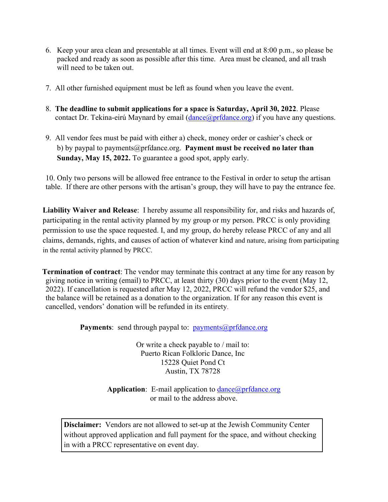- 6. Keep your area clean and presentable at all times. Event will end at 8:00 p.m., so please be packed and ready as soon as possible after this time. Area must be cleaned, and all trash will need to be taken out.
- 7. All other furnished equipment must be left as found when you leave the event.
- 8. **The deadline to submit applications for a space is Saturday, April 30, 2022**. Please contact Dr. Tekina-eirú Maynard by email  $(dance@prfdance.org)$  if you have any questions.
- 9. All vendor fees must be paid with either a) check, money order or cashier's check or b) by paypal to payments@prfdance.org. **Payment must be received no later than Sunday, May 15, 2022.** To guarantee a good spot, apply early.

10. Only two persons will be allowed free entrance to the Festival in order to setup the artisan table. If there are other persons with the artisan's group, they will have to pay the entrance fee.

**Liability Waiver and Release**: I hereby assume all responsibility for, and risks and hazards of, participating in the rental activity planned by my group or my person. PRCC is only providing permission to use the space requested. I, and my group, do hereby release PRCC of any and all claims, demands, rights, and causes of action of whatever kind and nature, arising from participating in the rental activity planned by PRCC.

**Termination of contract**: The vendor may terminate this contract at any time for any reason by giving notice in writing (email) to PRCC, at least thirty (30) days prior to the event (May 12, 2022). If cancellation is requested after May 12, 2022, PRCC will refund the vendor \$25, and the balance will be retained as a donation to the organization. If for any reason this event is cancelled, vendors' donation will be refunded in its entirety.

Payments: send through paypal to: [payments@prfdance.org](mailto:payments@prfdance.org)

Or write a check payable to / mail to: Puerto Rican Folkloric Dance, Inc 15228 Quiet Pond Ct Austin, TX 78728

**Application**: E-mail application to [dance@prfdance.org](mailto:dance@prfdance.org) or mail to the address above.

**Disclaimer:** Vendors are not allowed to set-up at the Jewish Community Center without approved application and full payment for the space, and without checking in with a PRCC representative on event day.